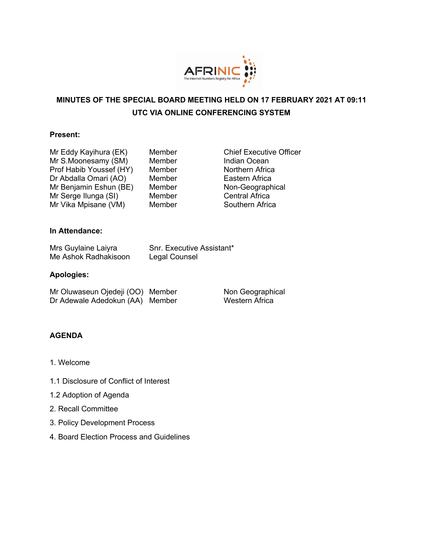

# **MINUTES OF THE SPECIAL BOARD MEETING HELD ON 17 FEBRUARY 2021 AT 09:11 UTC VIA ONLINE CONFERENCING SYSTEM**

## **Present:**

Mr Eddy Kayihura (EK) Member Chief Executive Officer Mr S.Moonesamy (SM) Member Indian Ocean Prof Habib Youssef (HY) Member Northern Africa Dr Abdalla Omari (AO) Member Eastern Africa Mr Benjamin Eshun (BE) Member Non-Geographical Mr Serge Ilunga (SI) Member Central Africa Mr Vika Mpisane (VM) Member Southern Africa

## **In Attendance:**

| Mrs Guylaine Laiyra  | Snr. Executive Assistant* |
|----------------------|---------------------------|
| Me Ashok Radhakisoon | Legal Counsel             |

#### **Apologies:**

| Mr Oluwaseun Ojedeji (OO) Member |  |
|----------------------------------|--|
| Dr Adewale Adedokun (AA) Member  |  |

Non Geographical Western Africa

# **AGENDA**

- 1. Welcome
- 1.1 Disclosure of Conflict of Interest
- 1.2 Adoption of Agenda
- 2. Recall Committee
- 3. Policy Development Process
- 4. Board Election Process and Guidelines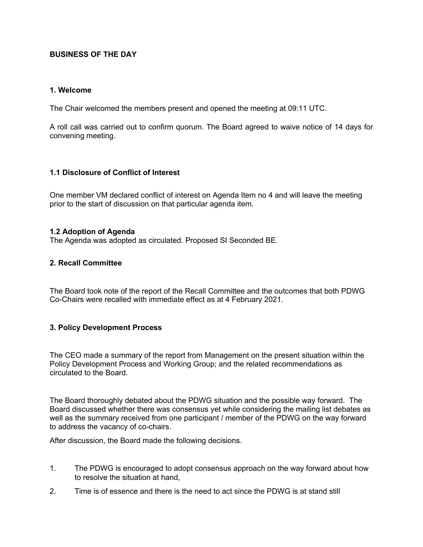# **BUSINESS OF THE DAY**

#### **1. Welcome**

The Chair welcomed the members present and opened the meeting at 09:11 UTC.

A roll call was carried out to confirm quorum. The Board agreed to waive notice of 14 days for convening meeting.

# **1.1 Disclosure of Conflict of Interest**

One member VM declared conflict of interest on Agenda Item no 4 and will leave the meeting prior to the start of discussion on that particular agenda item.

## **1.2 Adoption of Agenda**

The Agenda was adopted as circulated. Proposed SI Seconded BE.

## **2. Recall Committee**

The Board took note of the report of the Recall Committee and the outcomes that both PDWG Co-Chairs were recalled with immediate effect as at 4 February 2021.

# **3. Policy Development Process**

The CEO made a summary of the report from Management on the present situation within the Policy Development Process and Working Group; and the related recommendations as circulated to the Board.

The Board thoroughly debated about the PDWG situation and the possible way forward. The Board discussed whether there was consensus yet while considering the mailing list debates as well as the summary received from one participant / member of the PDWG on the way forward to address the vacancy of co-chairs.

After discussion, the Board made the following decisions.

- 1. The PDWG is encouraged to adopt consensus approach on the way forward about how to resolve the situation at hand,
- 2. Time is of essence and there is the need to act since the PDWG is at stand still